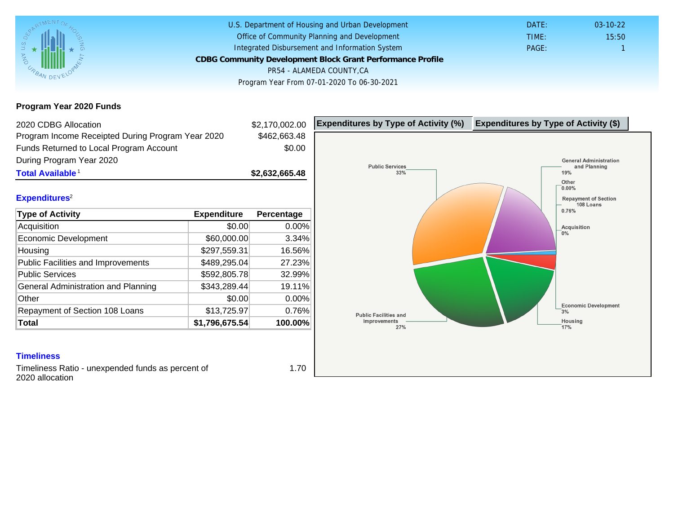Program Year 2020 Funds

| 2020 CDBG Allocation                              |                | \$2,170,002.00 | Expenditures by Type of Activity (%) | Expenditure |
|---------------------------------------------------|----------------|----------------|--------------------------------------|-------------|
| Program Income Receipted During Program Year 2020 |                | \$462,663.48   |                                      |             |
| Funds Returned to Local Program Account           |                | \$0.00         |                                      |             |
| During Program Year 2020                          |                |                |                                      |             |
| Total Available <sup>1</sup>                      |                | \$2,632,665.48 |                                      |             |
| Expenditures <sup>2</sup>                         |                |                |                                      |             |
| Type of Activity                                  | Expenditure    | Percentage     |                                      |             |
| Acquisition                                       | \$0.00         | 0.00%          |                                      |             |
| <b>Economic Development</b>                       | \$60,000.00    | 3.34%          |                                      |             |
| Housing                                           | \$297,559.31   | 16.56%         |                                      |             |
| Public Facilities and Improvements                | \$489,295.04   | 27.23%         |                                      |             |
| <b>Public Services</b>                            | \$592,805.78   | 32.99%         |                                      |             |
| General Administration and Planning               | \$343,289.44   | 19.11%         |                                      |             |
| Other                                             | \$0.00         | 0.00%          |                                      |             |
| Repayment of Section 108 Loans                    | \$13,725.97    | 0.76%          |                                      |             |
| Total                                             | \$1,796,675.54 | 100.00%        |                                      |             |

### **Timeliness**

Timeliness Ratio - unexpended funds as percent of 2020 allocation

1.70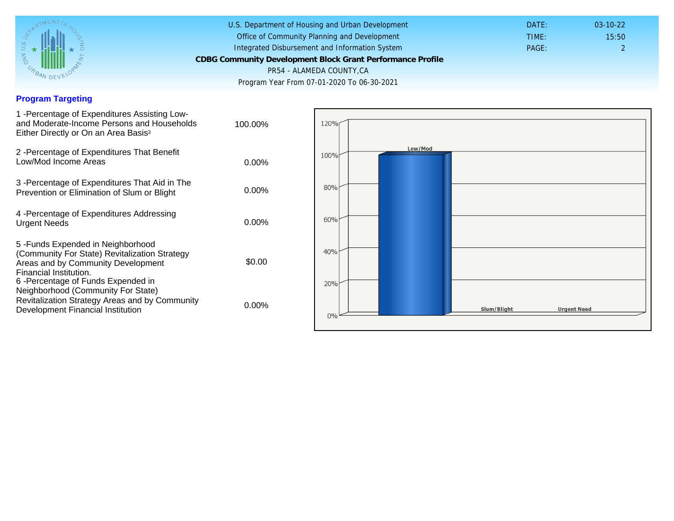## Program Targeting

| 1 - Percentage of Expenditures Assisting Low-<br>and Moderate-Income Persons and Households<br>Either Directly or On an Area Basis <sup>3</sup>                                                                                | 100.00%  |
|--------------------------------------------------------------------------------------------------------------------------------------------------------------------------------------------------------------------------------|----------|
| 2 - Percentage of Expenditures That Benefit<br>Low/Mod Income Areas                                                                                                                                                            | $0.00\%$ |
| 3 -Percentage of Expenditures That Aid in The<br>Prevention or Elimination of Slum or Blight                                                                                                                                   | $0.00\%$ |
| 4 - Percentage of Expenditures Addressing<br><b>Urgent Needs</b>                                                                                                                                                               | $0.00\%$ |
| 5-Funds Expended in Neighborhood<br>(Community For State) Revitalization Strategy<br>Areas and by Community Development<br>Financial Institution.<br>6 - Percentage of Funds Expended in<br>Neighborhood (Community For State) | \$0.00   |
| Revitalization Strategy Areas and by Community<br>Development Financial Institution                                                                                                                                            | $0.00\%$ |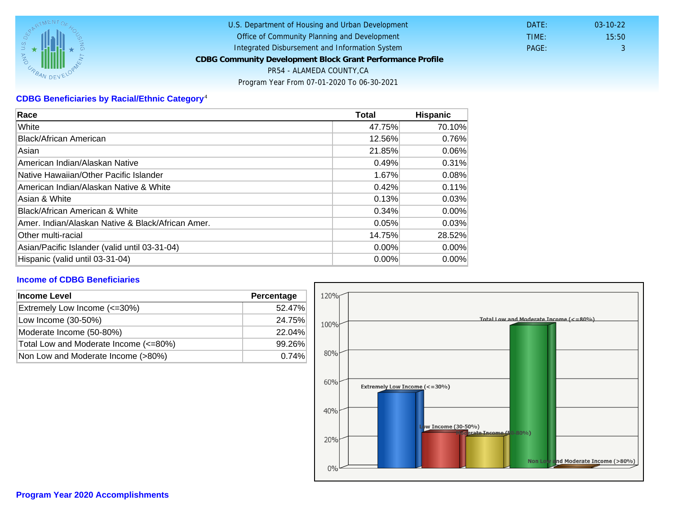# CDBG Beneficiaries by Racial/Ethnic Category <sup>4</sup>

| Race                                              | Total    | Hispanic |
|---------------------------------------------------|----------|----------|
| White                                             | 47.75%   | 70.10%   |
| Black/African American                            | 12.56%   | 0.76%    |
| Asian                                             | 21.85%   | 0.06%    |
| American Indian/Alaskan Native                    | 0.49%    | 0.31%    |
| lNative Hawaiian/Other Pacific Islander           | 1.67%    | 0.08%    |
| American Indian/Alaskan Native & White            | 0.42%    | 0.11%    |
| Asian & White                                     | 0.13%    | 0.03%    |
| Black/African American & White                    | 0.34%    | $0.00\%$ |
| Amer. Indian/Alaskan Native & Black/African Amer. | 0.05%    | 0.03%    |
| Other multi-racial                                | 14.75%   | 28.52%   |
| Asian/Pacific Islander (valid until 03-31-04)     | 0.00%    | $0.00\%$ |
| Hispanic (valid until 03-31-04)                   | $0.00\%$ | 0.00%    |

### Income of CDBG Beneficiaries

| Income Level                          | Percentage |  |
|---------------------------------------|------------|--|
| Extremely Low Income (<=30%)          | 52.47%     |  |
| Low Income (30-50%)                   | 24.75%     |  |
| Moderate Income (50-80%)              | 22.04%     |  |
| Total Low and Moderate Income (<=80%) | 99.26%     |  |
| Non Low and Moderate Income (>80%)    | 0.74%      |  |